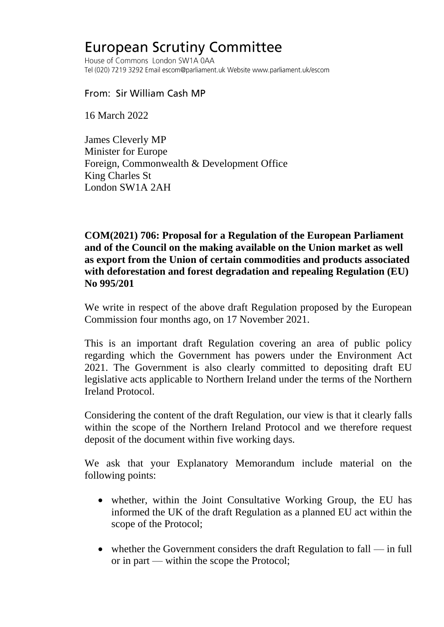## **European Scrutiny Committee**

House of Commons London SW1A 0AA Tel (020) 7219 3292 Email escom@parliament.uk Website www.parliament.uk/escom

From: Sir William Cash MP

16 March 2022

James Cleverly MP Minister for Europe Foreign, Commonwealth & Development Office King Charles St London SW1A 2AH

**COM(2021) 706: Proposal for a Regulation of the European Parliament and of the Council on the making available on the Union market as well as export from the Union of certain commodities and products associated with deforestation and forest degradation and repealing Regulation (EU) No 995/201**

We write in respect of the above draft Regulation proposed by the European Commission four months ago, on 17 November 2021.

This is an important draft Regulation covering an area of public policy regarding which the Government has powers under the Environment Act 2021. The Government is also clearly committed to depositing draft EU legislative acts applicable to Northern Ireland under the terms of the Northern Ireland Protocol.

Considering the content of the draft Regulation, our view is that it clearly falls within the scope of the Northern Ireland Protocol and we therefore request deposit of the document within five working days.

We ask that your Explanatory Memorandum include material on the following points:

- whether, within the Joint Consultative Working Group, the EU has informed the UK of the draft Regulation as a planned EU act within the scope of the Protocol;
- whether the Government considers the draft Regulation to fall in full or in part — within the scope the Protocol;